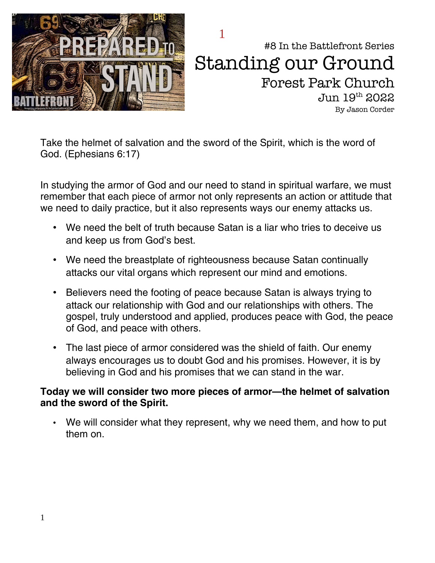

#8 In the Battlefront Series Standing our Ground Forest Park Church Jun 19th 2022 By Jason Corder 1

Take the helmet of salvation and the sword of the Spirit, which is the word of God. (Ephesians 6:17)

In studying the armor of God and our need to stand in spiritual warfare, we must remember that each piece of armor not only represents an action or attitude that we need to daily practice, but it also represents ways our enemy attacks us.

- We need the belt of truth because Satan is a liar who tries to deceive us and keep us from God's best.
- We need the breastplate of righteousness because Satan continually attacks our vital organs which represent our mind and emotions.
- Believers need the footing of peace because Satan is always trying to attack our relationship with God and our relationships with others. The gospel, truly understood and applied, produces peace with God, the peace of God, and peace with others.
- The last piece of armor considered was the shield of faith. Our enemy always encourages us to doubt God and his promises. However, it is by believing in God and his promises that we can stand in the war.

#### **Today we will consider two more pieces of armor—the helmet of salvation and the sword of the Spirit.**

• We will consider what they represent, why we need them, and how to put them on.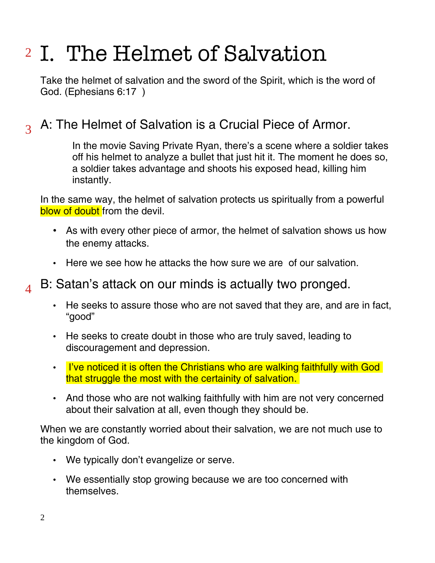# <sup>2</sup> I. The Helmet of Salvation

Take the helmet of salvation and the sword of the Spirit, which is the word of God. (Ephesians 6:17 )

#### A: The Helmet of Salvation is a Crucial Piece of Armor. 3

In the movie Saving Private Ryan, there's a scene where a soldier takes off his helmet to analyze a bullet that just hit it. The moment he does so, a soldier takes advantage and shoots his exposed head, killing him instantly.

In the same way, the helmet of salvation protects us spiritually from a powerful blow of doubt from the devil.

- As with every other piece of armor, the helmet of salvation shows us how the enemy attacks.
- Here we see how he attacks the how sure we are of our salvation.

#### B: Satan's attack on our minds is actually two pronged.  $\Delta$

- He seeks to assure those who are not saved that they are, and are in fact, "good"
- He seeks to create doubt in those who are truly saved, leading to discouragement and depression.
- I've noticed it is often the Christians who are walking faithfully with God that struggle the most with the certainity of salvation.
- And those who are not walking faithfully with him are not very concerned about their salvation at all, even though they should be.

When we are constantly worried about their salvation, we are not much use to the kingdom of God.

- We typically don't evangelize or serve.
- We essentially stop growing because we are too concerned with themselves.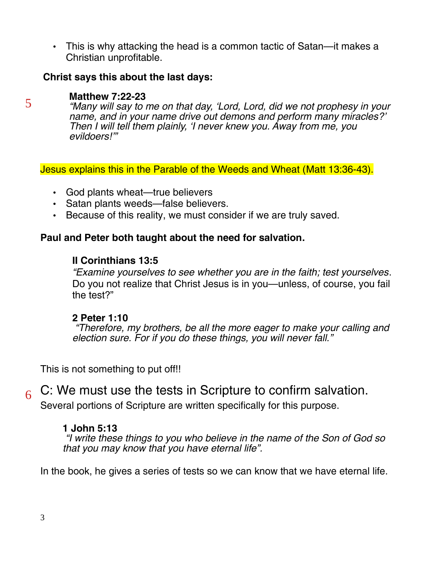• This is why attacking the head is a common tactic of Satan—it makes a Christian unprofitable.

#### **Christ says this about the last days:**

#### **Matthew 7:22-23**

5

"Many will say to me on that day, 'Lord, Lord, did we not prophesy in your name, and in your name drive out demons and perform many miracles?' Then I will tell them plainly, 'I never knew you. Away from me, you evildoers!'"

Jesus explains this in the Parable of the Weeds and Wheat (Matt 13:36-43).

- God plants wheat—true believers
- Satan plants weeds—false believers.
- Because of this reality, we must consider if we are truly saved.

#### **Paul and Peter both taught about the need for salvation.**

#### **II Corinthians 13:5**

"Examine yourselves to see whether you are in the faith; test yourselves. Do you not realize that Christ Jesus is in you—unless, of course, you fail the test?"

#### **2 Peter 1:10**

 "Therefore, my brothers, be all the more eager to make your calling and election sure. For if you do these things, you will never fall."

This is not something to put off!!

C: We must use the tests in Scripture to confirm salvation. 6

Several portions of Scripture are written specifically for this purpose.

#### **1 John 5:13**

 "I write these things to you who believe in the name of the Son of God so that you may know that you have eternal life".

In the book, he gives a series of tests so we can know that we have eternal life.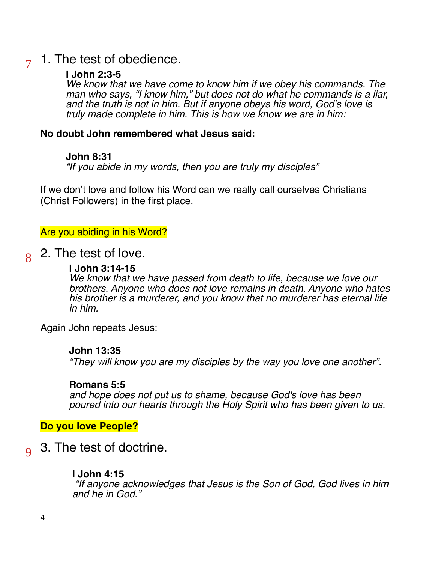#### 1. The test of obedience. 7

#### **I John 2:3-5**

We know that we have come to know him if we obey his commands. The man who says, "I know him," but does not do what he commands is a liar, and the truth is not in him. But if anyone obeys his word, God's love is truly made complete in him. This is how we know we are in him:

#### **No doubt John remembered what Jesus said:**

#### **John 8:31**

"If you abide in my words, then you are truly my disciples"

If we don't love and follow his Word can we really call ourselves Christians (Christ Followers) in the first place.

#### Are you abiding in his Word?

2. The test of love. 8

#### **I John 3:14-15**

We know that we have passed from death to life, because we love our brothers. Anyone who does not love remains in death. Anyone who hates his brother is a murderer, and you know that no murderer has eternal life in him.

Again John repeats Jesus:

#### **John 13:35**

"They will know you are my disciples by the way you love one another".

#### **Romans 5:5**

and hope does not put us to shame, because God's love has been poured into our hearts through the Holy Spirit who has been given to us.

**Do you love People?**

3. The test of doctrine.  $\overline{q}$ 

#### **I John 4:15**

 "If anyone acknowledges that Jesus is the Son of God, God lives in him and he in God."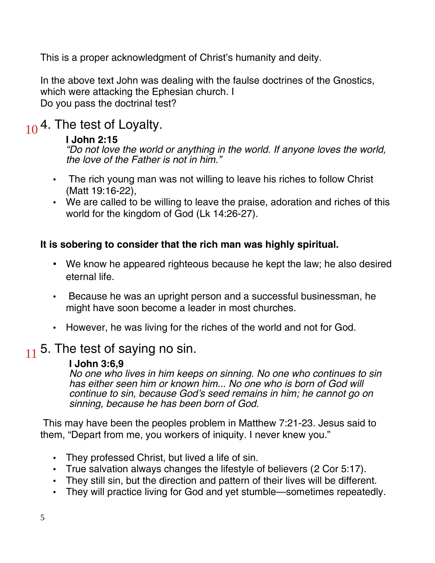This is a proper acknowledgment of Christ's humanity and deity.

In the above text John was dealing with the faulse doctrines of the Gnostics, which were attacking the Ephesian church. I Do you pass the doctrinal test?

## $10<sup>4</sup>$ . The test of Loyalty.

#### **I John 2:15**

"Do not love the world or anything in the world. If anyone loves the world, the love of the Father is not in him."

- The rich young man was not willing to leave his riches to follow Christ (Matt 19:16-22),
- We are called to be willing to leave the praise, adoration and riches of this world for the kingdom of God (Lk 14:26-27).

### **It is sobering to consider that the rich man was highly spiritual.**

- We know he appeared righteous because he kept the law; he also desired eternal life.
- Because he was an upright person and a successful businessman, he might have soon become a leader in most churches.
- However, he was living for the riches of the world and not for God.

### $11$  5. The test of saying no sin.

#### **I John 3:6,9**

No one who lives in him keeps on sinning. No one who continues to sin has either seen him or known him... No one who is born of God will continue to sin, because God's seed remains in him; he cannot go on sinning, because he has been born of God.

 This may have been the peoples problem in Matthew 7:21-23. Jesus said to them, "Depart from me, you workers of iniquity. I never knew you."

- They professed Christ, but lived a life of sin.
- True salvation always changes the lifestyle of believers (2 Cor 5:17).
- They still sin, but the direction and pattern of their lives will be different.
- They will practice living for God and yet stumble—sometimes repeatedly.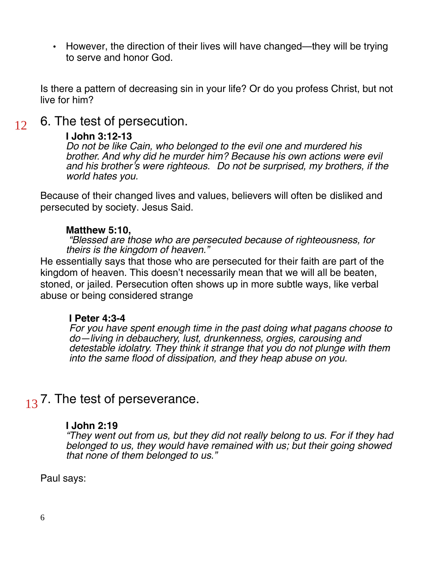• However, the direction of their lives will have changed—they will be trying to serve and honor God.

Is there a pattern of decreasing sin in your life? Or do you profess Christ, but not live for him?

6. The test of persecution. 12

#### **I John 3:12-13**

Do not be like Cain, who belonged to the evil one and murdered his brother. And why did he murder him? Because his own actions were evil and his brother's were righteous. Do not be surprised, my brothers, if the world hates you.

Because of their changed lives and values, believers will often be disliked and persecuted by society. Jesus Said.

#### **Matthew 5:10,**

 "Blessed are those who are persecuted because of righteousness, for theirs is the kingdom of heaven."

He essentially says that those who are persecuted for their faith are part of the kingdom of heaven. This doesn't necessarily mean that we will all be beaten, stoned, or jailed. Persecution often shows up in more subtle ways, like verbal abuse or being considered strange

#### **I Peter 4:3-4**

For you have spent enough time in the past doing what pagans choose to do—living in debauchery, lust, drunkenness, orgies, carousing and detestable idolatry. They think it strange that you do not plunge with them into the same flood of dissipation, and they heap abuse on you.

### $13$  7. The test of perseverance.

#### **I John 2:19**

"They went out from us, but they did not really belong to us. For if they had belonged to us, they would have remained with us; but their going showed that none of them belonged to us."

Paul says: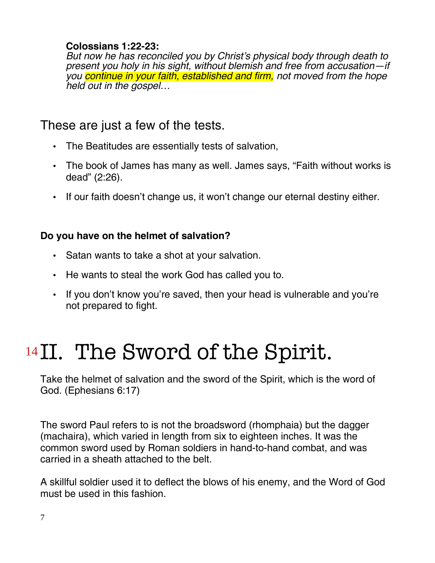#### **Colossians 1:22-23:**

But now he has reconciled you by Christ's physical body through death to present you holy in his sight, without blemish and free from accusation—if you continue in your faith, established and firm, not moved from the hope held out in the gospel…

### These are just a few of the tests.

- The Beatitudes are essentially tests of salvation,
- The book of James has many as well. James says, "Faith without works is dead" (2:26).
- If our faith doesn't change us, it won't change our eternal destiny either.

### **Do you have on the helmet of salvation?**

- Satan wants to take a shot at your salvation.
- He wants to steal the work God has called you to.
- If you don't know you're saved, then your head is vulnerable and you're not prepared to fight.

# <sup>14</sup>II. The Sword of the Spirit.

Take the helmet of salvation and the sword of the Spirit, which is the word of God. (Ephesians 6:17)

The sword Paul refers to is not the broadsword (rhomphaia) but the dagger (machaira), which varied in length from six to eighteen inches. It was the common sword used by Roman soldiers in hand-to-hand combat, and was carried in a sheath attached to the belt.

A skillful soldier used it to deflect the blows of his enemy, and the Word of God must be used in this fashion.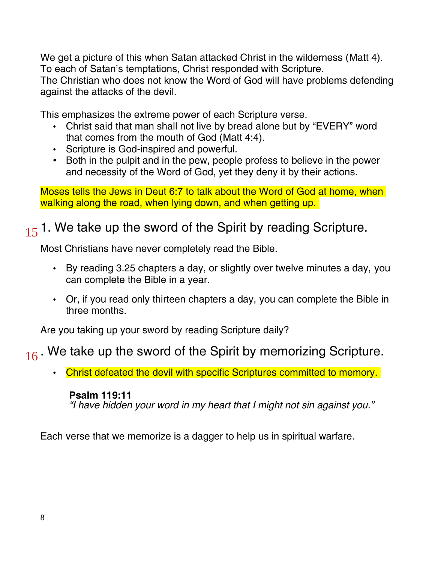We get a picture of this when Satan attacked Christ in the wilderness (Matt 4). To each of Satan's temptations, Christ responded with Scripture. The Christian who does not know the Word of God will have problems defending against the attacks of the devil.

This emphasizes the extreme power of each Scripture verse.

- Christ said that man shall not live by bread alone but by "EVERY" word that comes from the mouth of God (Matt 4:4).
- Scripture is God-inspired and powerful.
- Both in the pulpit and in the pew, people profess to believe in the power and necessity of the Word of God, yet they deny it by their actions.

Moses tells the Jews in Deut 6:7 to talk about the Word of God at home, when walking along the road, when lying down, and when getting up.

## $15$  1. We take up the sword of the Spirit by reading Scripture.

Most Christians have never completely read the Bible.

- By reading 3.25 chapters a day, or slightly over twelve minutes a day, you can complete the Bible in a year.
- Or, if you read only thirteen chapters a day, you can complete the Bible in three months.

Are you taking up your sword by reading Scripture daily?

### $16$ . We take up the sword of the Spirit by memorizing Scripture.

• Christ defeated the devil with specific Scriptures committed to memory.

### **Psalm 119:11**

"I have hidden your word in my heart that I might not sin against you."

Each verse that we memorize is a dagger to help us in spiritual warfare.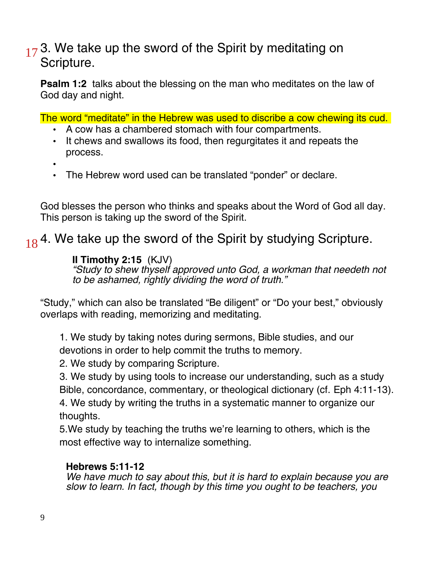### $17<sup>3</sup>$ . We take up the sword of the Spirit by meditating on Scripture.

**Psalm 1:2** talks about the blessing on the man who meditates on the law of God day and night.

The word "meditate" in the Hebrew was used to discribe a cow chewing its cud.

- A cow has a chambered stomach with four compartments.
- It chews and swallows its food, then regurgitates it and repeats the process.
- •
- The Hebrew word used can be translated "ponder" or declare.

God blesses the person who thinks and speaks about the Word of God all day. This person is taking up the sword of the Spirit.

## $18<sup>4</sup>$ . We take up the sword of the Spirit by studying Scripture.

### **II Timothy 2:15** (KJV)

"Study to shew thyself approved unto God, a workman that needeth not to be ashamed, rightly dividing the word of truth."

"Study," which can also be translated "Be diligent" or "Do your best," obviously overlaps with reading, memorizing and meditating.

1. We study by taking notes during sermons, Bible studies, and our devotions in order to help commit the truths to memory.

2. We study by comparing Scripture.

3. We study by using tools to increase our understanding, such as a study Bible, concordance, commentary, or theological dictionary (cf. Eph 4:11-13).

4. We study by writing the truths in a systematic manner to organize our thoughts.

5.We study by teaching the truths we're learning to others, which is the most effective way to internalize something.

#### **Hebrews 5:11-12**

We have much to say about this, but it is hard to explain because you are slow to learn. In fact, though by this time you ought to be teachers, you